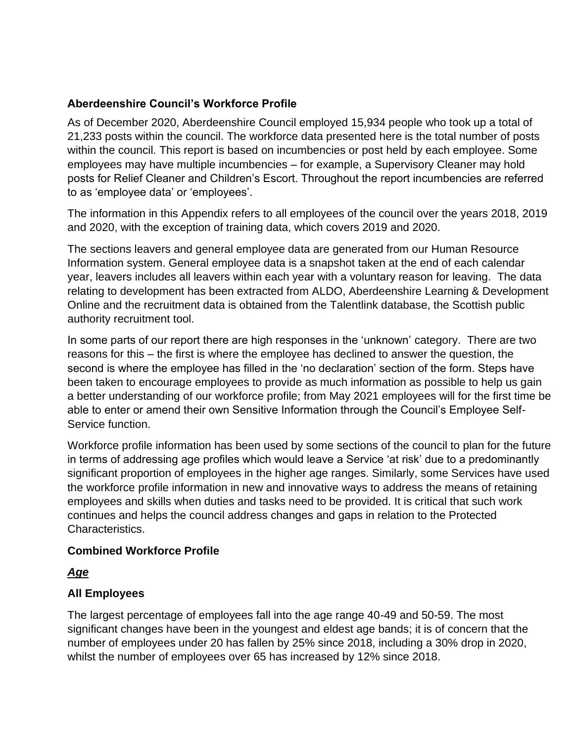# **Aberdeenshire Council's Workforce Profile**

As of December 2020, Aberdeenshire Council employed 15,934 people who took up a total of 21,233 posts within the council. The workforce data presented here is the total number of posts within the council. This report is based on incumbencies or post held by each employee. Some employees may have multiple incumbencies – for example, a Supervisory Cleaner may hold posts for Relief Cleaner and Children's Escort. Throughout the report incumbencies are referred to as 'employee data' or 'employees'.

The information in this Appendix refers to all employees of the council over the years 2018, 2019 and 2020, with the exception of training data, which covers 2019 and 2020.

The sections leavers and general employee data are generated from our Human Resource Information system. General employee data is a snapshot taken at the end of each calendar year, leavers includes all leavers within each year with a voluntary reason for leaving. The data relating to development has been extracted from ALDO, Aberdeenshire Learning & Development Online and the recruitment data is obtained from the Talentlink database, the Scottish public authority recruitment tool.

In some parts of our report there are high responses in the 'unknown' category. There are two reasons for this – the first is where the employee has declined to answer the question, the second is where the employee has filled in the 'no declaration' section of the form. Steps have been taken to encourage employees to provide as much information as possible to help us gain a better understanding of our workforce profile; from May 2021 employees will for the first time be able to enter or amend their own Sensitive Information through the Council's Employee Self-Service function.

Workforce profile information has been used by some sections of the council to plan for the future in terms of addressing age profiles which would leave a Service 'at risk' due to a predominantly significant proportion of employees in the higher age ranges. Similarly, some Services have used the workforce profile information in new and innovative ways to address the means of retaining employees and skills when duties and tasks need to be provided. It is critical that such work continues and helps the council address changes and gaps in relation to the Protected Characteristics.

## **Combined Workforce Profile**

## *Age*

## **All Employees**

The largest percentage of employees fall into the age range 40-49 and 50-59. The most significant changes have been in the youngest and eldest age bands; it is of concern that the number of employees under 20 has fallen by 25% since 2018, including a 30% drop in 2020, whilst the number of employees over 65 has increased by 12% since 2018.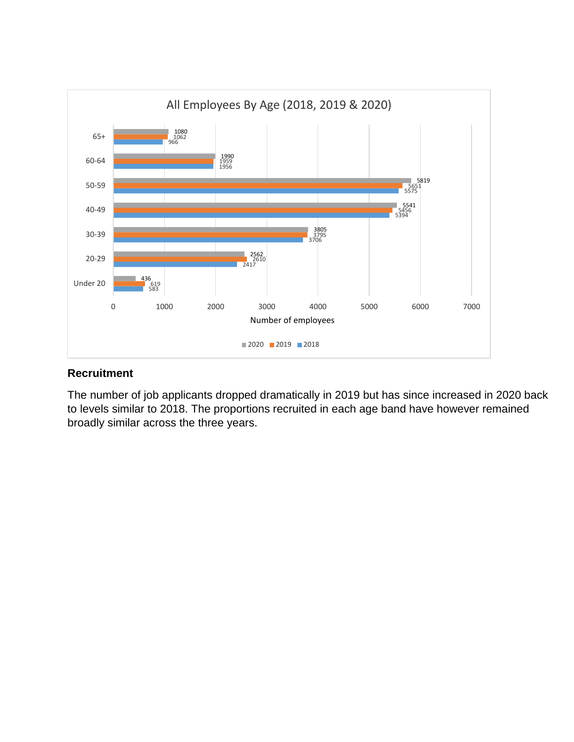

#### **Recruitment**

The number of job applicants dropped dramatically in 2019 but has since increased in 2020 back to levels similar to 2018. The proportions recruited in each age band have however remained broadly similar across the three years.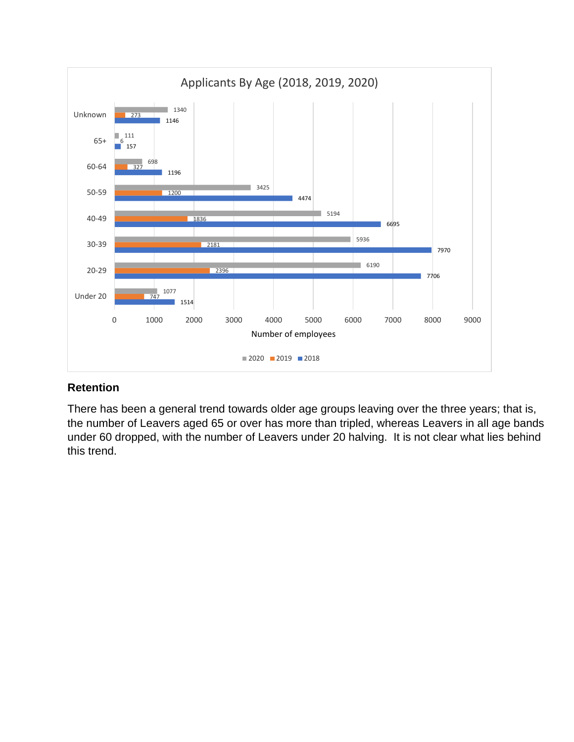![](_page_2_Figure_0.jpeg)

There has been a general trend towards older age groups leaving over the three years; that is, the number of Leavers aged 65 or over has more than tripled, whereas Leavers in all age bands under 60 dropped, with the number of Leavers under 20 halving. It is not clear what lies behind this trend.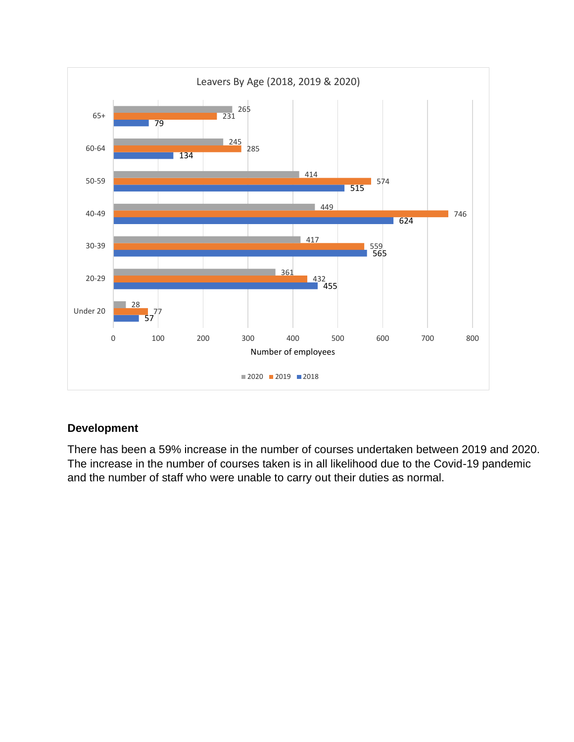![](_page_3_Figure_0.jpeg)

#### **Development**

There has been a 59% increase in the number of courses undertaken between 2019 and 2020. The increase in the number of courses taken is in all likelihood due to the Covid-19 pandemic and the number of staff who were unable to carry out their duties as normal.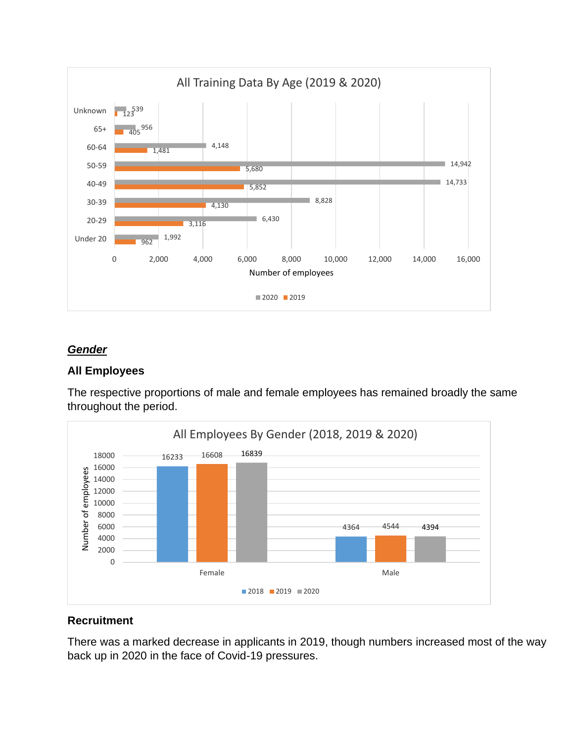![](_page_4_Figure_0.jpeg)

## *Gender*

#### **All Employees**

The respective proportions of male and female employees has remained broadly the same throughout the period.

![](_page_4_Figure_4.jpeg)

#### **Recruitment**

There was a marked decrease in applicants in 2019, though numbers increased most of the way back up in 2020 in the face of Covid-19 pressures.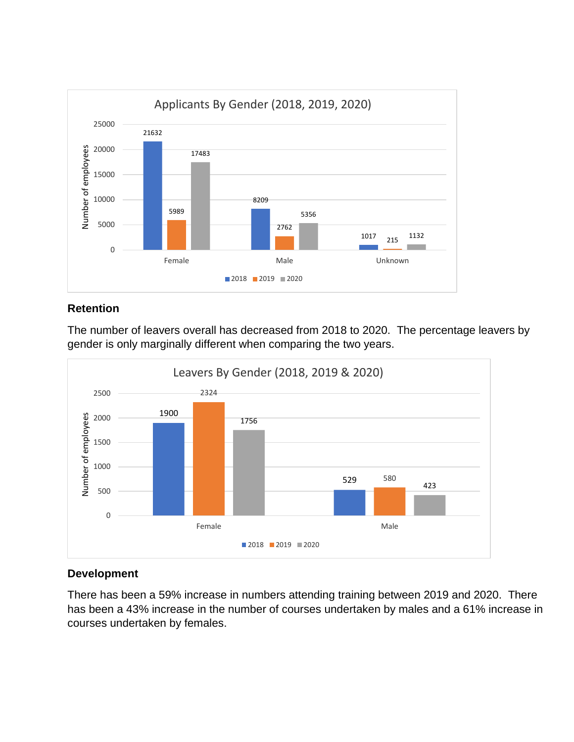![](_page_5_Figure_0.jpeg)

The number of leavers overall has decreased from 2018 to 2020. The percentage leavers by gender is only marginally different when comparing the two years.

![](_page_5_Figure_3.jpeg)

## **Development**

There has been a 59% increase in numbers attending training between 2019 and 2020. There has been a 43% increase in the number of courses undertaken by males and a 61% increase in courses undertaken by females.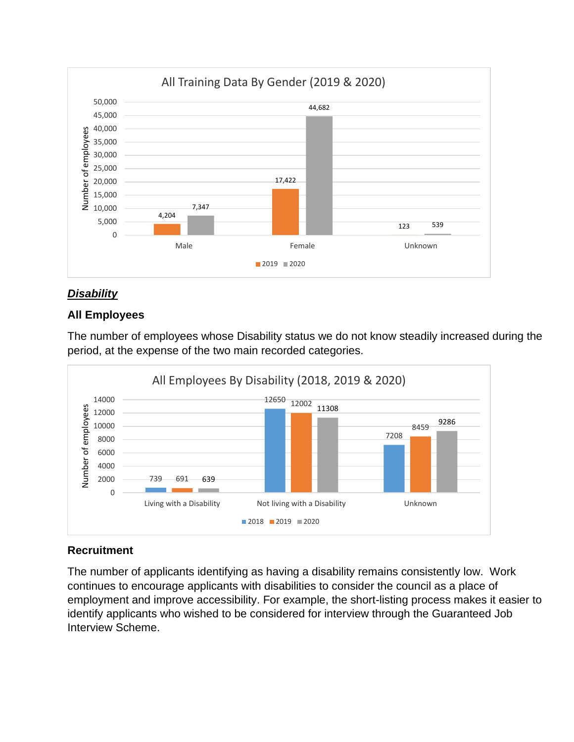![](_page_6_Figure_0.jpeg)

## *Disability*

## **All Employees**

The number of employees whose Disability status we do not know steadily increased during the period, at the expense of the two main recorded categories.

![](_page_6_Figure_4.jpeg)

## **Recruitment**

The number of applicants identifying as having a disability remains consistently low. Work continues to encourage applicants with disabilities to consider the council as a place of employment and improve accessibility. For example, the short-listing process makes it easier to identify applicants who wished to be considered for interview through the Guaranteed Job Interview Scheme.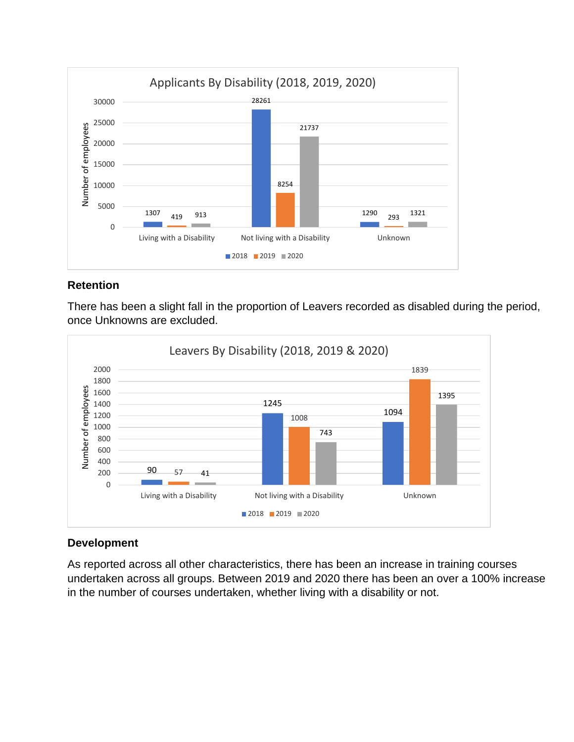![](_page_7_Figure_0.jpeg)

There has been a slight fall in the proportion of Leavers recorded as disabled during the period, once Unknowns are excluded.

![](_page_7_Figure_3.jpeg)

## **Development**

As reported across all other characteristics, there has been an increase in training courses undertaken across all groups. Between 2019 and 2020 there has been an over a 100% increase in the number of courses undertaken, whether living with a disability or not.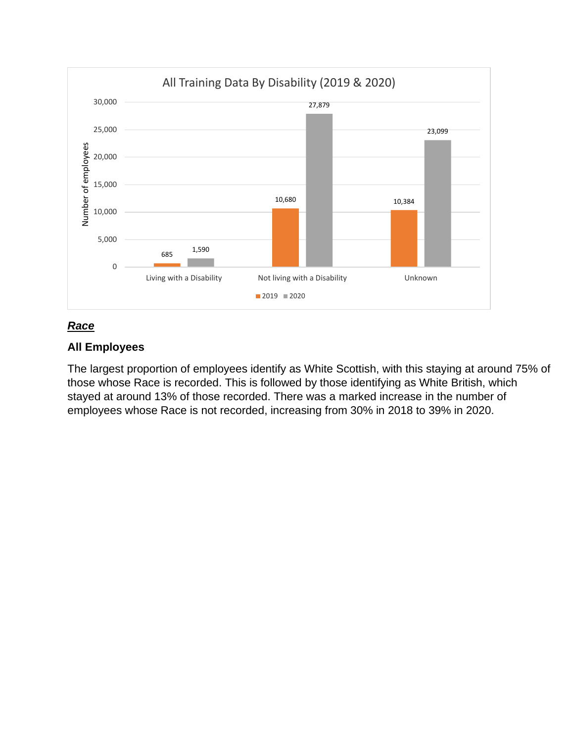![](_page_8_Figure_0.jpeg)

# *Race*

#### **All Employees**

The largest proportion of employees identify as White Scottish, with this staying at around 75% of those whose Race is recorded. This is followed by those identifying as White British, which stayed at around 13% of those recorded. There was a marked increase in the number of employees whose Race is not recorded, increasing from 30% in 2018 to 39% in 2020.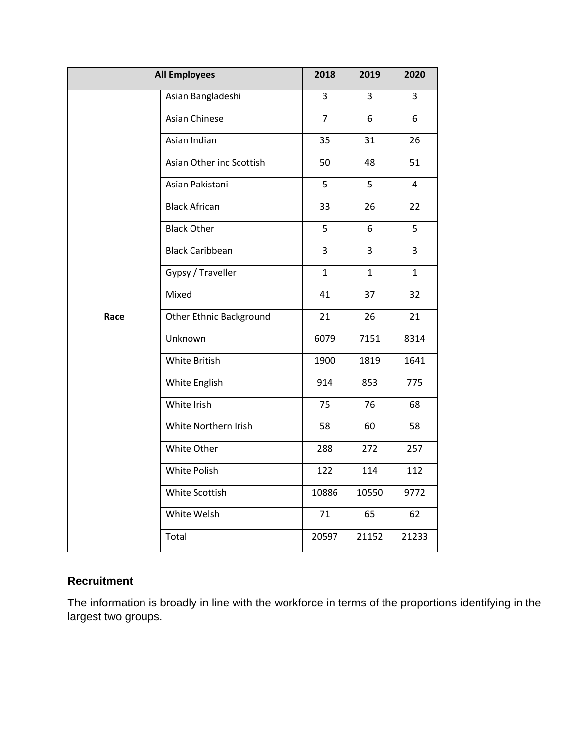|      | <b>All Employees</b>           | 2018           | 2019           | 2020           |
|------|--------------------------------|----------------|----------------|----------------|
|      | Asian Bangladeshi              | 3              | 3              | 3              |
|      | <b>Asian Chinese</b>           | $\overline{7}$ | 6              | 6              |
|      | Asian Indian                   | 35             | 31             | 26             |
|      | Asian Other inc Scottish       | 50             | 48             | 51             |
|      | Asian Pakistani                | 5              | 5              | $\overline{4}$ |
|      | <b>Black African</b>           | 33             | 26             | 22             |
|      | <b>Black Other</b>             | 5              | 6              | 5              |
|      | <b>Black Caribbean</b>         | 3              | $\overline{3}$ | 3              |
|      | Gypsy / Traveller              | $\mathbf{1}$   | $\mathbf{1}$   | $\mathbf{1}$   |
|      | Mixed                          | 41             | 37             | 32             |
| Race | <b>Other Ethnic Background</b> | 21             | 26             | 21             |
|      | Unknown                        | 6079           | 7151           | 8314           |
|      | White British                  | 1900           | 1819           | 1641           |
|      | White English                  | 914            | 853            | 775            |
|      | White Irish                    | 75             | 76             | 68             |
|      | White Northern Irish           | 58             | 60             | 58             |
|      | White Other                    | 288            | 272            | 257            |
|      | White Polish                   | 122            | 114            | 112            |
|      | White Scottish                 | 10886          | 10550          | 9772           |
|      | White Welsh                    | 71             | 65             | 62             |
|      | Total                          | 20597          | 21152          | 21233          |

# **Recruitment**

The information is broadly in line with the workforce in terms of the proportions identifying in the largest two groups.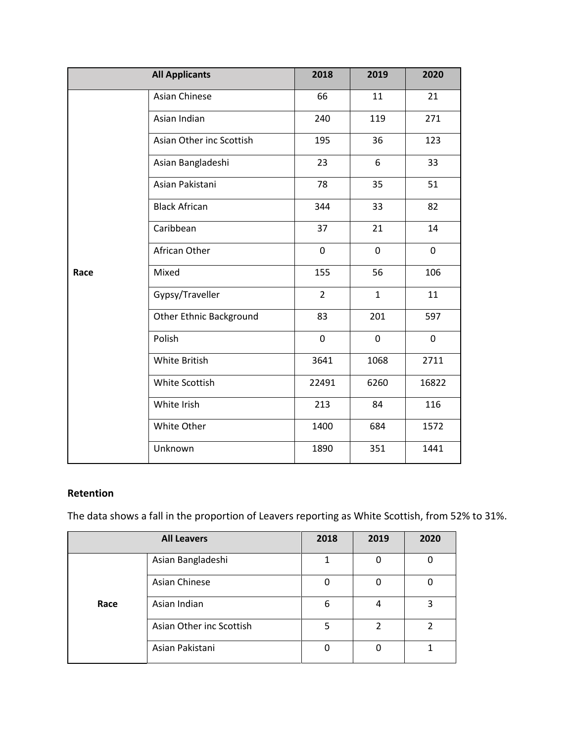|      | <b>All Applicants</b>          | 2018           | 2019         | 2020        |
|------|--------------------------------|----------------|--------------|-------------|
|      | <b>Asian Chinese</b>           | 66             | 11           | 21          |
|      | Asian Indian                   | 240            | 119          | 271         |
|      | Asian Other inc Scottish       | 195            | 36           | 123         |
|      | Asian Bangladeshi              | 23             | 6            | 33          |
|      | Asian Pakistani                | 78             | 35           | 51          |
|      | <b>Black African</b>           | 344            | 33           | 82          |
|      | Caribbean                      | 37             | 21           | 14          |
|      | African Other                  | $\mathbf 0$    | 0            | $\mathbf 0$ |
| Race | Mixed                          | 155            | 56           | 106         |
|      | Gypsy/Traveller                | $\overline{2}$ | $\mathbf{1}$ | 11          |
|      | <b>Other Ethnic Background</b> | 83             | 201          | 597         |
|      | Polish                         | $\mathbf 0$    | 0            | 0           |
|      | White British                  | 3641           | 1068         | 2711        |
|      | White Scottish                 | 22491          | 6260         | 16822       |
|      | White Irish                    | 213            | 84           | 116         |
|      | White Other                    | 1400           | 684          | 1572        |
|      | Unknown                        | 1890           | 351          | 1441        |

The data shows a fall in the proportion of Leavers reporting as White Scottish, from 52% to 31%.

| <b>All Leavers</b> |                          | 2018 | 2019 | 2020 |
|--------------------|--------------------------|------|------|------|
|                    | Asian Bangladeshi        |      | 0    |      |
|                    | Asian Chinese            |      | Ω    |      |
| Race               | Asian Indian             | 6    | 4    | 3    |
|                    | Asian Other inc Scottish | 5    |      |      |
|                    | Asian Pakistani          |      | O    |      |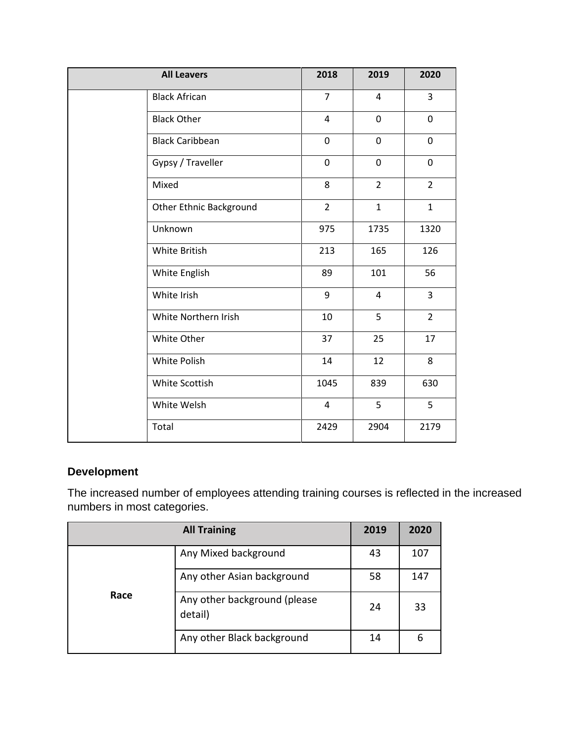| <b>All Leavers</b>             | 2018           | 2019           | 2020           |
|--------------------------------|----------------|----------------|----------------|
| <b>Black African</b>           | $\overline{7}$ | 4              | $\overline{3}$ |
| <b>Black Other</b>             | 4              | $\mathbf 0$    | $\mathbf 0$    |
| <b>Black Caribbean</b>         | 0              | $\mathbf 0$    | $\mathbf 0$    |
| Gypsy / Traveller              | 0              | 0              | 0              |
| Mixed                          | 8              | $\overline{2}$ | $\overline{2}$ |
| <b>Other Ethnic Background</b> | $\overline{2}$ | $\mathbf{1}$   | $\mathbf{1}$   |
| Unknown                        | 975            | 1735           | 1320           |
| White British                  | 213            | 165            | 126            |
| White English                  | 89             | 101            | 56             |
| White Irish                    | 9              | $\overline{4}$ | $\overline{3}$ |
| White Northern Irish           | 10             | 5              | $\overline{2}$ |
| White Other                    | 37             | 25             | 17             |
| White Polish                   | 14             | 12             | 8              |
| White Scottish                 | 1045           | 839            | 630            |
| White Welsh                    | 4              | 5              | 5              |
| Total                          | 2429           | 2904           | 2179           |

# **Development**

The increased number of employees attending training courses is reflected in the increased numbers in most categories.

| <b>All Training</b> |                                         | 2019 | 2020 |
|---------------------|-----------------------------------------|------|------|
|                     | Any Mixed background                    | 43   | 107  |
| Race                | Any other Asian background              | 58   | 147  |
|                     | Any other background (please<br>detail) | 24   | 33   |
|                     | Any other Black background              | 14   | 6    |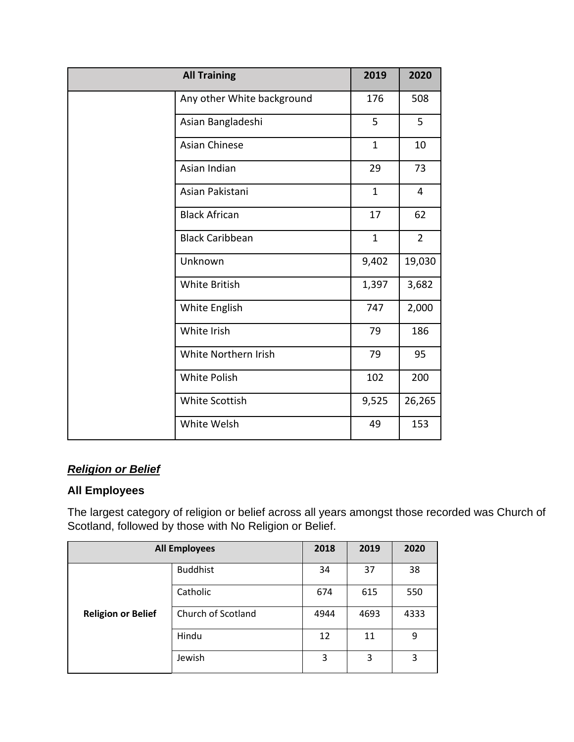| <b>All Training</b>        | 2019         | 2020           |
|----------------------------|--------------|----------------|
| Any other White background | 176          | 508            |
| Asian Bangladeshi          | 5            | 5              |
| <b>Asian Chinese</b>       | $\mathbf{1}$ | 10             |
| Asian Indian               | 29           | 73             |
| Asian Pakistani            | $\mathbf{1}$ | 4              |
| <b>Black African</b>       | 17           | 62             |
| <b>Black Caribbean</b>     | $\mathbf{1}$ | $\overline{2}$ |
| Unknown                    | 9,402        | 19,030         |
| White British              | 1,397        | 3,682          |
| White English              | 747          | 2,000          |
| White Irish                | 79           | 186            |
| White Northern Irish       | 79           | 95             |
| <b>White Polish</b>        | 102          | 200            |
| White Scottish             | 9,525        | 26,265         |
| White Welsh                | 49           | 153            |

# *Religion or Belief*

# **All Employees**

The largest category of religion or belief across all years amongst those recorded was Church of Scotland, followed by those with No Religion or Belief.

| <b>All Employees</b>      |                    | 2018 | 2019 | 2020 |
|---------------------------|--------------------|------|------|------|
|                           | <b>Buddhist</b>    | 34   | 37   | 38   |
| <b>Religion or Belief</b> | Catholic           | 674  | 615  | 550  |
|                           | Church of Scotland | 4944 | 4693 | 4333 |
|                           | Hindu              | 12   | 11   | 9    |
|                           | Jewish             | 3    | 3    | 3    |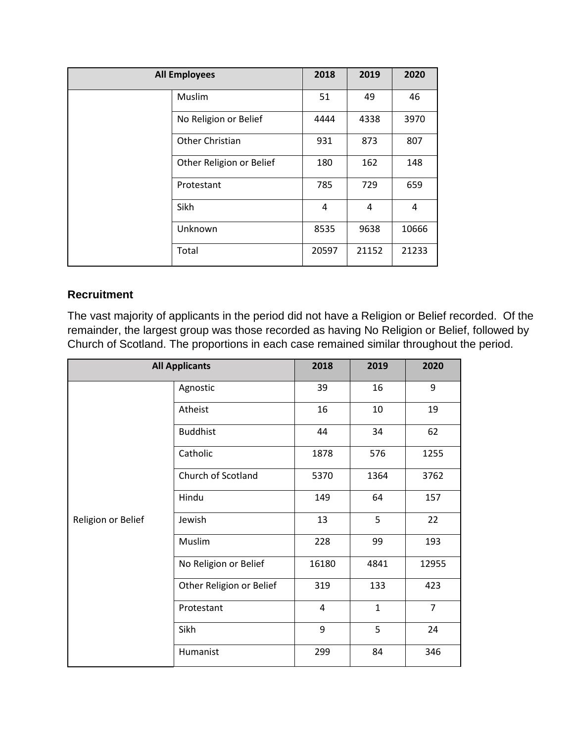| <b>All Employees</b>     | 2018  | 2019  | 2020  |
|--------------------------|-------|-------|-------|
| Muslim                   | 51    | 49    | 46    |
| No Religion or Belief    | 4444  | 4338  | 3970  |
| Other Christian          | 931   | 873   | 807   |
| Other Religion or Belief | 180   | 162   | 148   |
| Protestant               | 785   | 729   | 659   |
| Sikh                     | 4     | 4     | 4     |
| Unknown                  | 8535  | 9638  | 10666 |
| Total                    | 20597 | 21152 | 21233 |

## **Recruitment**

The vast majority of applicants in the period did not have a Religion or Belief recorded. Of the remainder, the largest group was those recorded as having No Religion or Belief, followed by Church of Scotland. The proportions in each case remained similar throughout the period.

| <b>All Applicants</b> |                          | 2018  | 2019         | 2020           |
|-----------------------|--------------------------|-------|--------------|----------------|
|                       | Agnostic                 | 39    | 16           | 9              |
|                       | Atheist                  | 16    | 10           | 19             |
|                       | <b>Buddhist</b>          | 44    | 34           | 62             |
|                       | Catholic                 | 1878  | 576          | 1255           |
|                       | Church of Scotland       | 5370  | 1364         | 3762           |
|                       | Hindu                    | 149   | 64           | 157            |
| Religion or Belief    | Jewish                   | 13    | 5            | 22             |
|                       | Muslim                   | 228   | 99           | 193            |
|                       | No Religion or Belief    | 16180 | 4841         | 12955          |
|                       | Other Religion or Belief | 319   | 133          | 423            |
|                       | Protestant               | 4     | $\mathbf{1}$ | $\overline{7}$ |
|                       | Sikh                     | 9     | 5            | 24             |
|                       | Humanist                 | 299   | 84           | 346            |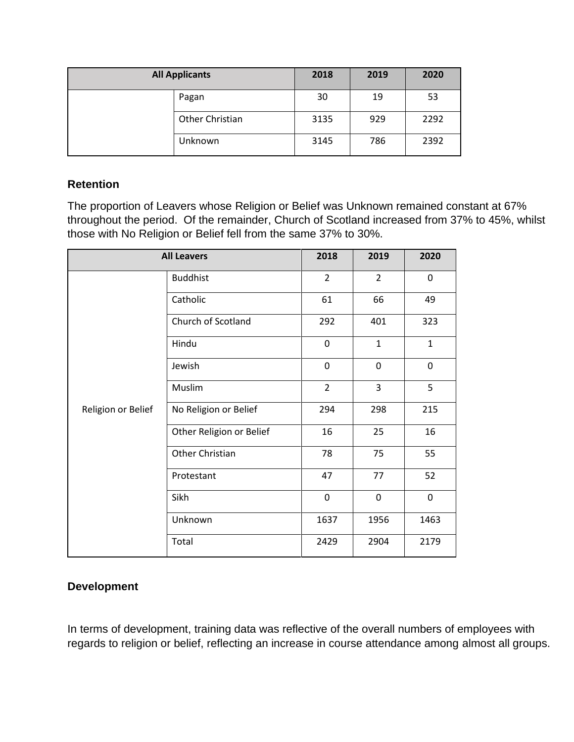| <b>All Applicants</b> |                 | 2018 | 2019 | 2020 |
|-----------------------|-----------------|------|------|------|
|                       | Pagan           | 30   | 19   | 53   |
|                       | Other Christian | 3135 | 929  | 2292 |
|                       | Unknown         | 3145 | 786  | 2392 |

The proportion of Leavers whose Religion or Belief was Unknown remained constant at 67% throughout the period. Of the remainder, Church of Scotland increased from 37% to 45%, whilst those with No Religion or Belief fell from the same 37% to 30%.

| <b>All Leavers</b> |                          | 2018           | 2019           | 2020         |
|--------------------|--------------------------|----------------|----------------|--------------|
|                    | <b>Buddhist</b>          | $\overline{2}$ | $\overline{2}$ | 0            |
|                    | Catholic                 | 61             | 66             | 49           |
|                    | Church of Scotland       | 292            | 401            | 323          |
|                    | Hindu                    | $\mathbf 0$    | $\mathbf{1}$   | $\mathbf{1}$ |
|                    | Jewish                   | 0              | $\mathbf 0$    | 0            |
|                    | Muslim                   | $\overline{2}$ | 3              | 5            |
| Religion or Belief | No Religion or Belief    | 294            | 298            | 215          |
|                    | Other Religion or Belief | 16             | 25             | 16           |
|                    | Other Christian          | 78             | 75             | 55           |
|                    | Protestant               | 47             | 77             | 52           |
|                    | Sikh                     | $\mathbf 0$    | $\mathbf 0$    | 0            |
|                    | Unknown                  | 1637           | 1956           | 1463         |
|                    | Total                    | 2429           | 2904           | 2179         |

## **Development**

In terms of development, training data was reflective of the overall numbers of employees with regards to religion or belief, reflecting an increase in course attendance among almost all groups.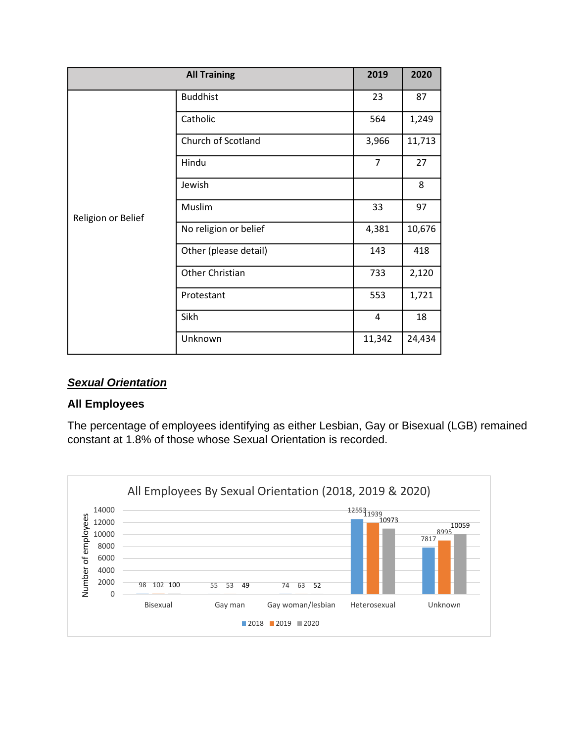|                    | <b>All Training</b>   | 2019           | 2020   |
|--------------------|-----------------------|----------------|--------|
|                    | <b>Buddhist</b>       | 23             | 87     |
|                    | Catholic              | 564            | 1,249  |
|                    | Church of Scotland    | 3,966          | 11,713 |
|                    | Hindu                 | $\overline{7}$ | 27     |
|                    | Jewish                |                | 8      |
| Religion or Belief | Muslim                | 33             | 97     |
|                    | No religion or belief | 4,381          | 10,676 |
|                    | Other (please detail) | 143            | 418    |
|                    | Other Christian       | 733            | 2,120  |
|                    | Protestant            | 553            | 1,721  |
|                    | Sikh                  | 4              | 18     |
|                    | Unknown               | 11,342         | 24,434 |

## *Sexual Orientation*

#### **All Employees**

The percentage of employees identifying as either Lesbian, Gay or Bisexual (LGB) remained constant at 1.8% of those whose Sexual Orientation is recorded.

![](_page_15_Figure_4.jpeg)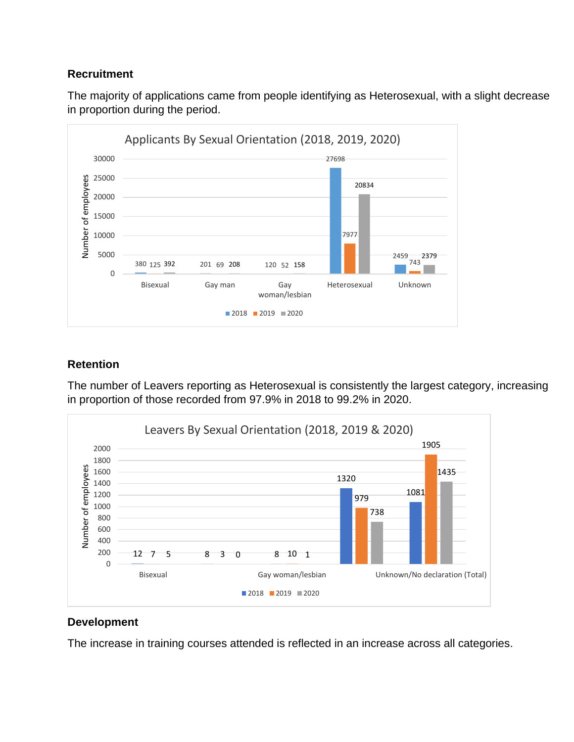#### **Recruitment**

The majority of applications came from people identifying as Heterosexual, with a slight decrease in proportion during the period.

![](_page_16_Figure_2.jpeg)

## **Retention**

The number of Leavers reporting as Heterosexual is consistently the largest category, increasing in proportion of those recorded from 97.9% in 2018 to 99.2% in 2020.

![](_page_16_Figure_5.jpeg)

## **Development**

The increase in training courses attended is reflected in an increase across all categories.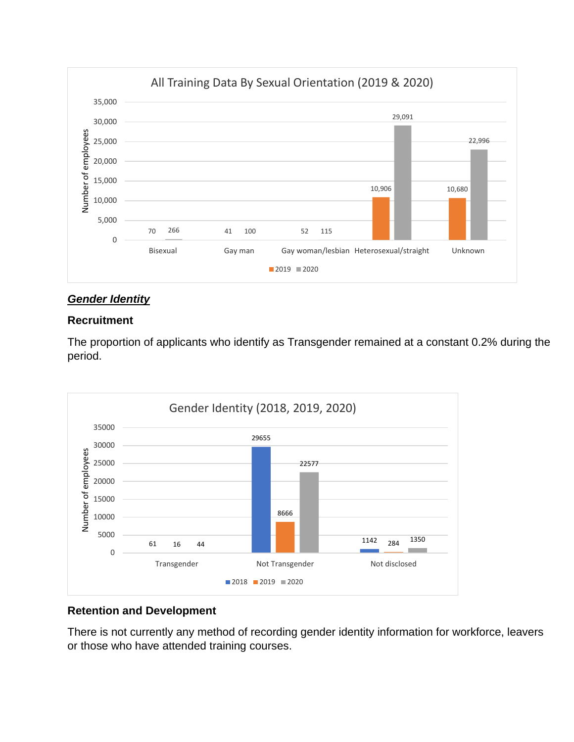![](_page_17_Figure_0.jpeg)

## *Gender Identity*

#### **Recruitment**

The proportion of applicants who identify as Transgender remained at a constant 0.2% during the period.

![](_page_17_Figure_4.jpeg)

#### **Retention and Development**

There is not currently any method of recording gender identity information for workforce, leavers or those who have attended training courses.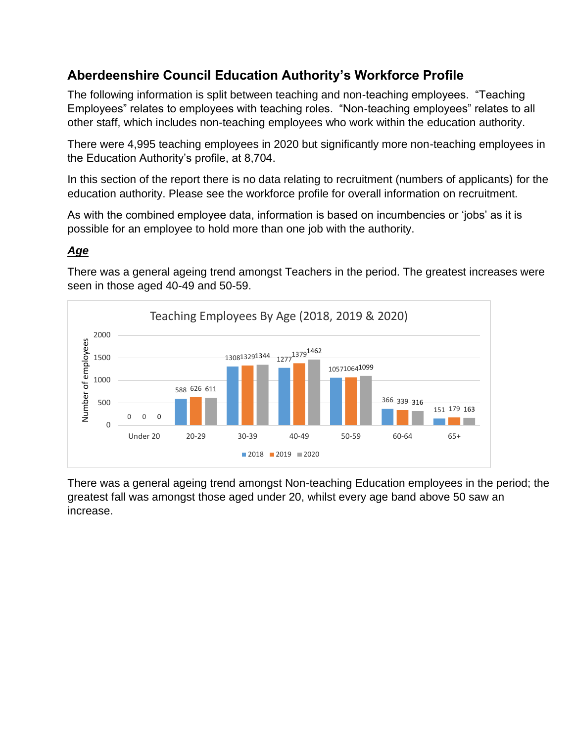# **Aberdeenshire Council Education Authority's Workforce Profile**

The following information is split between teaching and non-teaching employees. "Teaching Employees" relates to employees with teaching roles. "Non-teaching employees" relates to all other staff, which includes non-teaching employees who work within the education authority.

There were 4,995 teaching employees in 2020 but significantly more non-teaching employees in the Education Authority's profile, at 8,704.

In this section of the report there is no data relating to recruitment (numbers of applicants) for the education authority. Please see the workforce profile for overall information on recruitment.

As with the combined employee data, information is based on incumbencies or 'jobs' as it is possible for an employee to hold more than one job with the authority.

# *Age*

There was a general ageing trend amongst Teachers in the period. The greatest increases were seen in those aged 40-49 and 50-59.

![](_page_18_Figure_7.jpeg)

There was a general ageing trend amongst Non-teaching Education employees in the period; the greatest fall was amongst those aged under 20, whilst every age band above 50 saw an increase.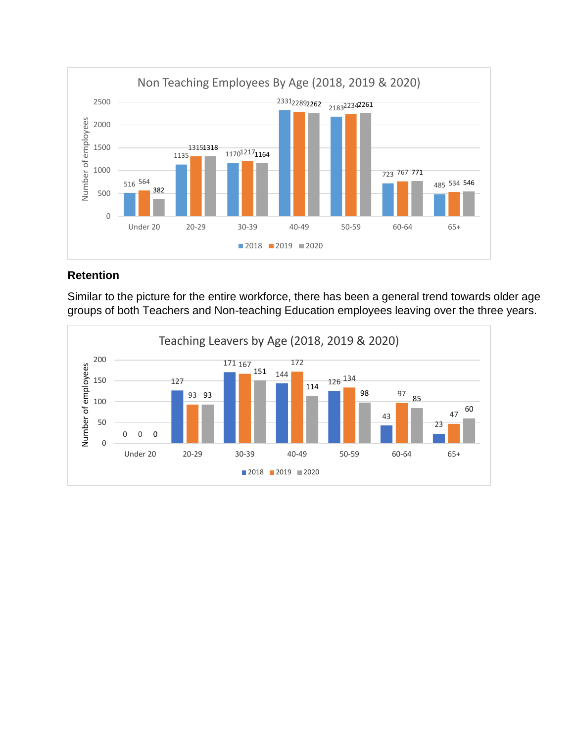![](_page_19_Figure_0.jpeg)

Similar to the picture for the entire workforce, there has been a general trend towards older age groups of both Teachers and Non-teaching Education employees leaving over the three years.

![](_page_19_Figure_3.jpeg)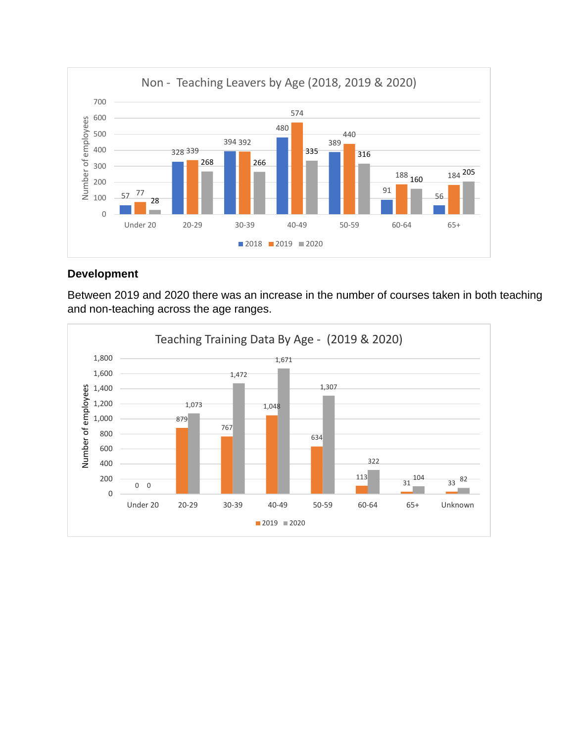![](_page_20_Figure_0.jpeg)

## **Development**

Between 2019 and 2020 there was an increase in the number of courses taken in both teaching and non-teaching across the age ranges.

![](_page_20_Figure_3.jpeg)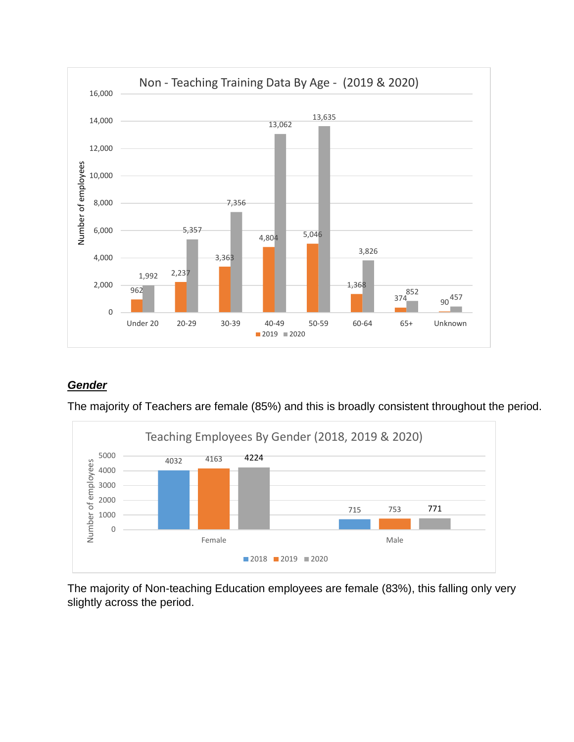![](_page_21_Figure_0.jpeg)

# *Gender*

The majority of Teachers are female (85%) and this is broadly consistent throughout the period.

![](_page_21_Figure_3.jpeg)

The majority of Non-teaching Education employees are female (83%), this falling only very slightly across the period.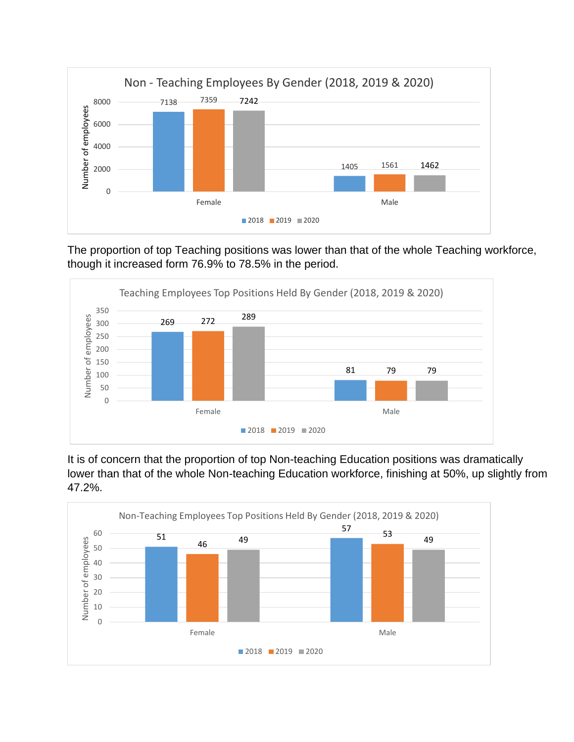![](_page_22_Figure_0.jpeg)

The proportion of top Teaching positions was lower than that of the whole Teaching workforce, though it increased form 76.9% to 78.5% in the period.

![](_page_22_Figure_2.jpeg)

It is of concern that the proportion of top Non-teaching Education positions was dramatically lower than that of the whole Non-teaching Education workforce, finishing at 50%, up slightly from 47.2%.

![](_page_22_Figure_4.jpeg)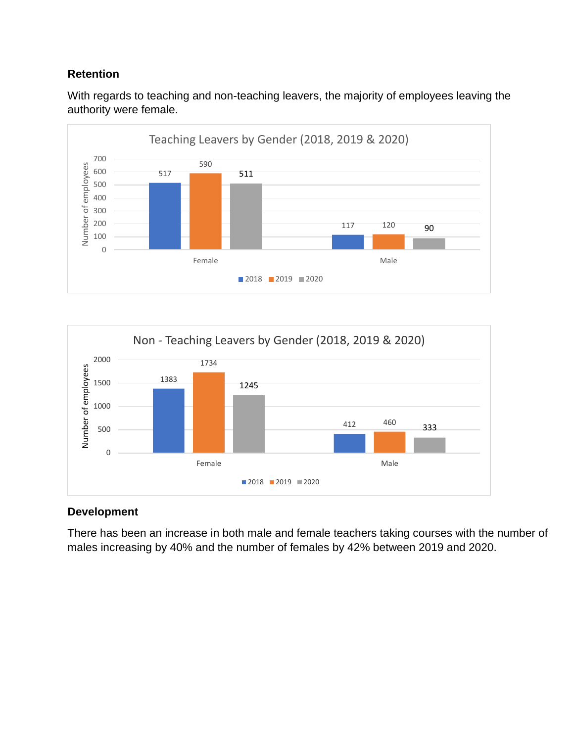With regards to teaching and non-teaching leavers, the majority of employees leaving the authority were female.

![](_page_23_Figure_2.jpeg)

![](_page_23_Figure_3.jpeg)

## **Development**

There has been an increase in both male and female teachers taking courses with the number of males increasing by 40% and the number of females by 42% between 2019 and 2020.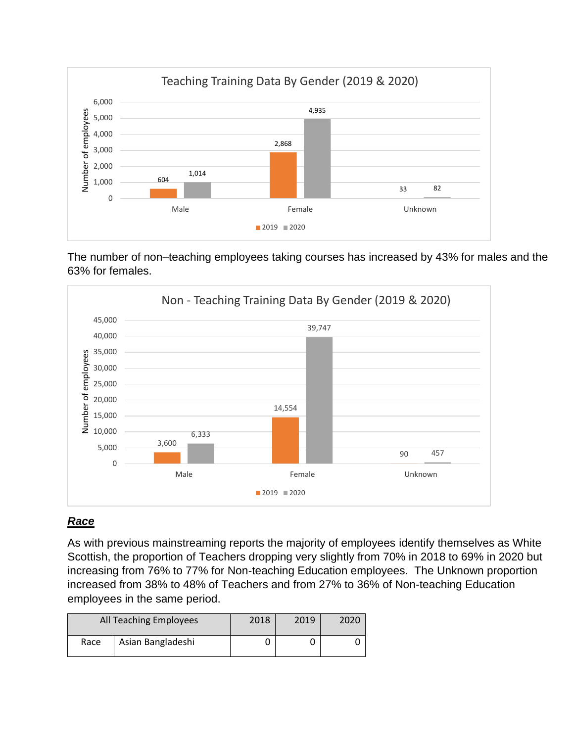![](_page_24_Figure_0.jpeg)

The number of non–teaching employees taking courses has increased by 43% for males and the 63% for females.

![](_page_24_Figure_2.jpeg)

## *Race*

As with previous mainstreaming reports the majority of employees identify themselves as White Scottish, the proportion of Teachers dropping very slightly from 70% in 2018 to 69% in 2020 but increasing from 76% to 77% for Non-teaching Education employees. The Unknown proportion increased from 38% to 48% of Teachers and from 27% to 36% of Non-teaching Education employees in the same period.

|      | All Teaching Employees | 2018 | 2019 | 2020 |
|------|------------------------|------|------|------|
| Race | Asian Bangladeshi      |      |      |      |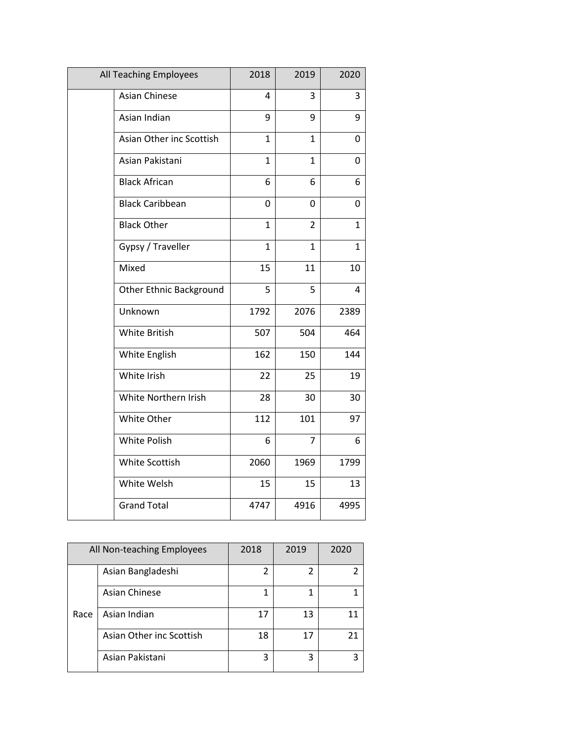| All Teaching Employees         | 2018         | 2019           | 2020         |
|--------------------------------|--------------|----------------|--------------|
| Asian Chinese                  | 4            | 3              | 3            |
| Asian Indian                   | 9            | 9              | 9            |
| Asian Other inc Scottish       | $\mathbf{1}$ | $\mathbf{1}$   | 0            |
| Asian Pakistani                | $\mathbf{1}$ | $\mathbf{1}$   | 0            |
| <b>Black African</b>           | 6            | 6              | 6            |
| <b>Black Caribbean</b>         | 0            | 0              | 0            |
| <b>Black Other</b>             | $\mathbf{1}$ | $\overline{2}$ | $\mathbf{1}$ |
| Gypsy / Traveller              | $\mathbf{1}$ | $\mathbf{1}$   | $\mathbf{1}$ |
| Mixed                          | 15           | 11             | 10           |
| <b>Other Ethnic Background</b> | 5            | 5              | 4            |
| Unknown                        | 1792         | 2076           | 2389         |
| <b>White British</b>           | 507          | 504            | 464          |
| White English                  | 162          | 150            | 144          |
| White Irish                    | 22           | 25             | 19           |
| White Northern Irish           | 28           | 30             | 30           |
| White Other                    | 112          | 101            | 97           |
| <b>White Polish</b>            | 6            | $\overline{7}$ | 6            |
| White Scottish                 | 2060         | 1969           | 1799         |
| White Welsh                    | 15           | 15             | 13           |
| <b>Grand Total</b>             | 4747         | 4916           | 4995         |

|      | All Non-teaching Employees | 2018 | 2019 | 2020 |
|------|----------------------------|------|------|------|
|      | Asian Bangladeshi          | 2    |      |      |
|      | <b>Asian Chinese</b>       |      |      |      |
| Race | Asian Indian               | 17   | 13   | 11   |
|      | Asian Other inc Scottish   | 18   | 17   | 21   |
|      | Asian Pakistani            | 3    | 3    | ς    |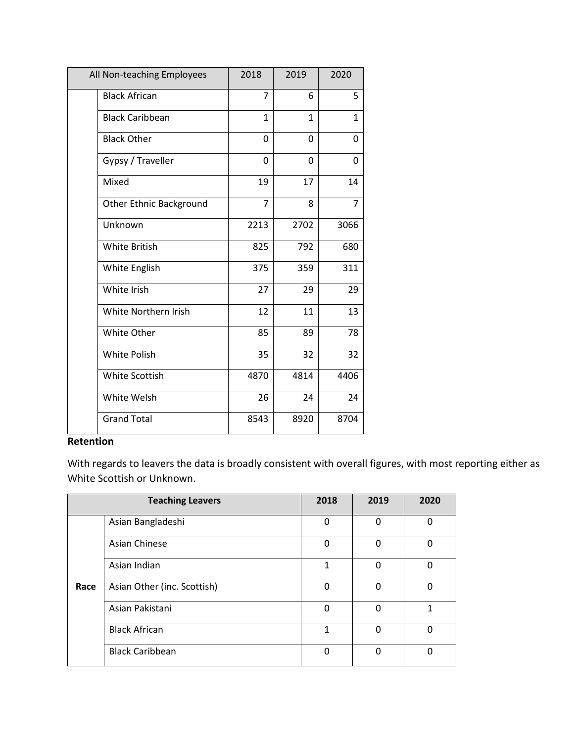| All Non-teaching Employees     | 2018           | 2019     | 2020         |
|--------------------------------|----------------|----------|--------------|
| <b>Black African</b>           | $\overline{7}$ | 6        | 5            |
| <b>Black Caribbean</b>         | 1              | 1        | $\mathbf{1}$ |
| <b>Black Other</b>             | 0              | $\Omega$ | 0            |
| Gypsy / Traveller              | $\Omega$       | 0        | 0            |
| Mixed                          | 19             | 17       | 14           |
| <b>Other Ethnic Background</b> | $\overline{7}$ | 8        | 7            |
| Unknown                        | 2213           | 2702     | 3066         |
| <b>White British</b>           | 825            | 792      | 680          |
| White English                  | 375            | 359      | 311          |
| White Irish                    | 27             | 29       | 29           |
| White Northern Irish           | 12             | 11       | 13           |
| <b>White Other</b>             | 85             | 89       | 78           |
| <b>White Polish</b>            | 35             | 32       | 32           |
| White Scottish                 | 4870           | 4814     | 4406         |
| White Welsh                    | 26             | 24       | 24           |
| <b>Grand Total</b>             | 8543           | 8920     | 8704         |

With regards to leavers the data is broadly consistent with overall figures, with most reporting either as White Scottish or Unknown.

|      | <b>Teaching Leavers</b>     | 2018        | 2019     | 2020     |
|------|-----------------------------|-------------|----------|----------|
|      | Asian Bangladeshi           | 0           | 0        | 0        |
|      | <b>Asian Chinese</b>        | $\mathbf 0$ | $\Omega$ | $\Omega$ |
|      | Asian Indian                | 1           | 0        | 0        |
| Race | Asian Other (inc. Scottish) | $\Omega$    | $\Omega$ | $\Omega$ |
|      | Asian Pakistani             | 0           | $\Omega$ | 1        |
|      | <b>Black African</b>        | 1           | 0        | 0        |
|      | <b>Black Caribbean</b>      | 0           | $\Omega$ | 0        |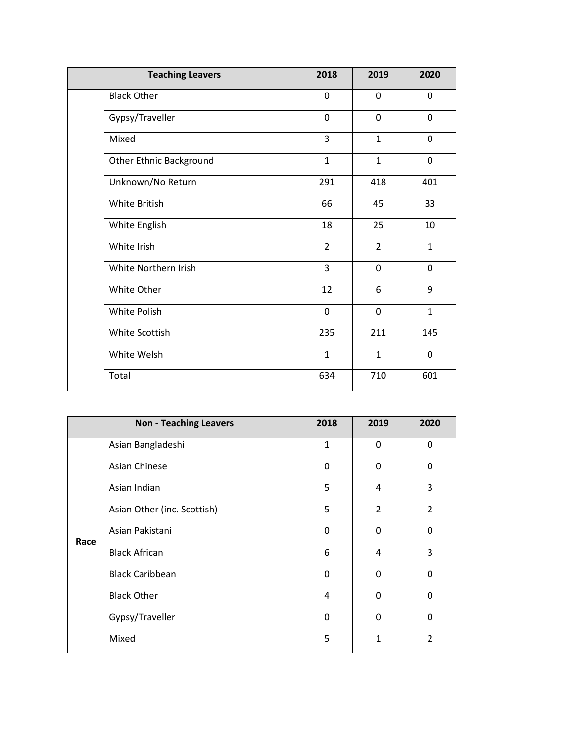| <b>Teaching Leavers</b>        | 2018           | 2019           | 2020         |
|--------------------------------|----------------|----------------|--------------|
| <b>Black Other</b>             | 0              | 0              | 0            |
| Gypsy/Traveller                | $\mathbf 0$    | $\mathbf 0$    | 0            |
| Mixed                          | 3              | $\mathbf{1}$   | 0            |
| <b>Other Ethnic Background</b> | $\mathbf{1}$   | $\mathbf{1}$   | 0            |
| Unknown/No Return              | 291            | 418            | 401          |
| White British                  | 66             | 45             | 33           |
| White English                  | 18             | 25             | 10           |
| White Irish                    | $\overline{2}$ | $\overline{2}$ | $\mathbf{1}$ |
| White Northern Irish           | 3              | 0              | 0            |
| White Other                    | 12             | 6              | 9            |
| <b>White Polish</b>            | 0              | $\overline{0}$ | $\mathbf{1}$ |
| White Scottish                 | 235            | 211            | 145          |
| White Welsh                    | $\mathbf{1}$   | $\mathbf{1}$   | 0            |
| Total                          | 634            | 710            | 601          |

|      | <b>Non - Teaching Leavers</b> | 2018 | 2019           | 2020           |
|------|-------------------------------|------|----------------|----------------|
|      | Asian Bangladeshi             | 1    | $\mathbf{0}$   | 0              |
|      | <b>Asian Chinese</b>          | 0    | $\Omega$       | $\mathbf{0}$   |
|      | Asian Indian                  | 5    | 4              | 3              |
|      | Asian Other (inc. Scottish)   | 5    | $\overline{2}$ | $\overline{2}$ |
| Race | Asian Pakistani               | 0    | $\Omega$       | $\mathbf{0}$   |
|      | <b>Black African</b>          | 6    | 4              | 3              |
|      | <b>Black Caribbean</b>        | 0    | $\Omega$       | 0              |
|      | <b>Black Other</b>            | 4    | $\Omega$       | $\mathbf{0}$   |
|      | Gypsy/Traveller               | 0    | $\Omega$       | 0              |
|      | Mixed                         | 5    | $\mathbf{1}$   | $\overline{2}$ |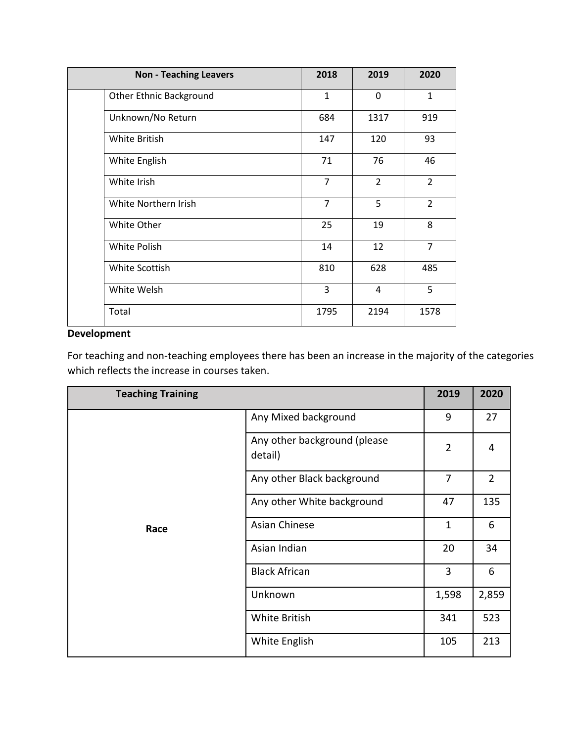| <b>Non - Teaching Leavers</b>  | 2018           | 2019           | 2020           |
|--------------------------------|----------------|----------------|----------------|
| <b>Other Ethnic Background</b> | $\mathbf{1}$   | 0              | $\mathbf{1}$   |
| Unknown/No Return              | 684            | 1317           | 919            |
| White British                  | 147            | 120            | 93             |
| White English                  | 71             | 76             | 46             |
| White Irish                    | $\overline{7}$ | $\overline{2}$ | $\overline{2}$ |
| White Northern Irish           | $\overline{7}$ | 5              | $\overline{2}$ |
| White Other                    | 25             | 19             | 8              |
| White Polish                   | 14             | 12             | $\overline{7}$ |
| White Scottish                 | 810            | 628            | 485            |
| White Welsh                    | 3              | $\overline{4}$ | 5              |
| Total                          | 1795           | 2194           | 1578           |

# **Development**

For teaching and non-teaching employees there has been an increase in the majority of the categories which reflects the increase in courses taken.

| <b>Teaching Training</b> |                                         | 2019           | 2020           |
|--------------------------|-----------------------------------------|----------------|----------------|
|                          | Any Mixed background                    | 9              | 27             |
|                          | Any other background (please<br>detail) | $\overline{2}$ | 4              |
|                          | Any other Black background              | 7              | $\overline{2}$ |
| Race                     | Any other White background              | 47             | 135            |
|                          | Asian Chinese                           | $\mathbf{1}$   | 6              |
|                          | Asian Indian                            | 20             | 34             |
|                          | <b>Black African</b>                    | 3              | 6              |
|                          | Unknown                                 | 1,598          | 2,859          |
|                          | White British                           | 341            | 523            |
|                          | White English                           | 105            | 213            |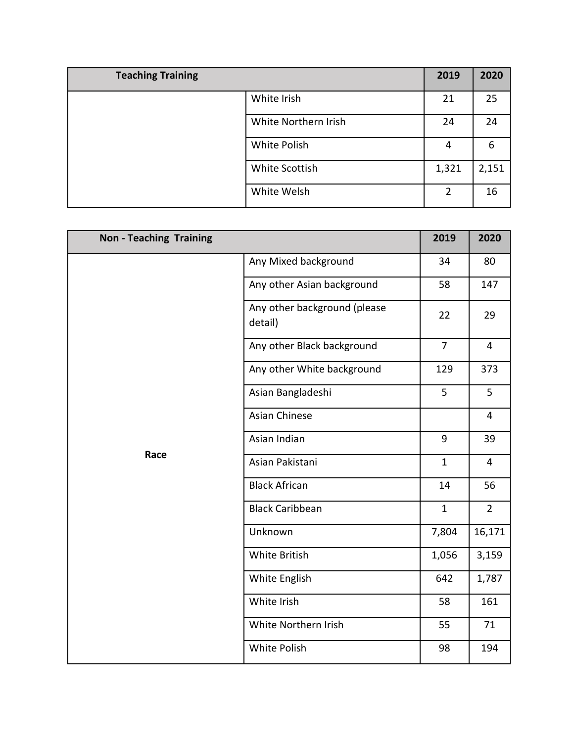| <b>Teaching Training</b> |                      | 2019  | 2020  |
|--------------------------|----------------------|-------|-------|
|                          | White Irish          | 21    | 25    |
|                          | White Northern Irish | 24    | 24    |
|                          | White Polish         | 4     | 6     |
|                          | White Scottish       | 1,321 | 2,151 |
|                          | White Welsh          | 2     | 16    |

| <b>Non - Teaching Training</b> |                                         | 2019           | 2020           |
|--------------------------------|-----------------------------------------|----------------|----------------|
|                                | Any Mixed background                    | 34             | 80             |
|                                | Any other Asian background              | 58             | 147            |
|                                | Any other background (please<br>detail) | 22             | 29             |
|                                | Any other Black background              | $\overline{7}$ | $\overline{4}$ |
|                                | Any other White background              | 129            | 373            |
| Race                           | Asian Bangladeshi                       | 5              | 5              |
|                                | <b>Asian Chinese</b>                    |                | $\overline{4}$ |
|                                | Asian Indian                            | 9              | 39             |
|                                | Asian Pakistani                         | $\mathbf{1}$   | $\overline{4}$ |
|                                | <b>Black African</b>                    | 14             | 56             |
|                                | <b>Black Caribbean</b>                  | $\mathbf{1}$   | $2^{\circ}$    |
|                                | Unknown                                 | 7,804          | 16,171         |
|                                | White British                           | 1,056          | 3,159          |
|                                | White English                           | 642            | 1,787          |
|                                | White Irish                             | 58             | 161            |
|                                | White Northern Irish                    | 55             | 71             |
|                                | White Polish                            | 98             | 194            |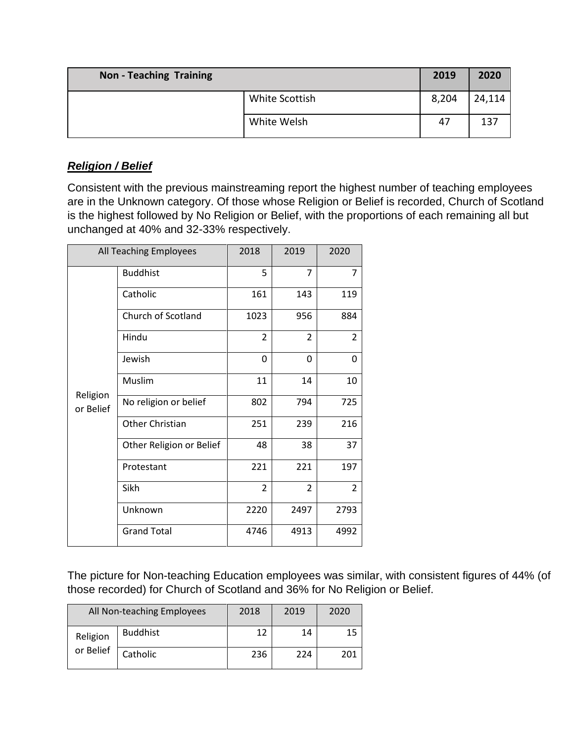| <b>Non-Teaching Training</b> |                | 2019  | 2020   |
|------------------------------|----------------|-------|--------|
|                              | White Scottish | 8,204 | 24,114 |
|                              | White Welsh    | 47    | 137    |

# *Religion / Belief*

Consistent with the previous mainstreaming report the highest number of teaching employees are in the Unknown category. Of those whose Religion or Belief is recorded, Church of Scotland is the highest followed by No Religion or Belief, with the proportions of each remaining all but unchanged at 40% and 32-33% respectively.

| All Teaching Employees |                          | 2018           | 2019           | 2020           |
|------------------------|--------------------------|----------------|----------------|----------------|
|                        | <b>Buddhist</b>          | 5              | 7              | $\overline{7}$ |
|                        | Catholic                 | 161            | 143            | 119            |
|                        | Church of Scotland       | 1023           | 956            | 884            |
|                        | Hindu                    | $\overline{2}$ | $\overline{2}$ | $\overline{2}$ |
|                        | Jewish                   | 0              | 0              | 0              |
| Religion<br>or Belief  | Muslim                   | 11             | 14             | 10             |
|                        | No religion or belief    | 802            | 794            | 725            |
|                        | Other Christian          | 251            | 239            | 216            |
|                        | Other Religion or Belief | 48             | 38             | 37             |
|                        | Protestant               | 221            | 221            | 197            |
|                        | Sikh                     | $\overline{2}$ | $\overline{2}$ | 2              |
|                        | Unknown                  | 2220           | 2497           | 2793           |
|                        | <b>Grand Total</b>       | 4746           | 4913           | 4992           |

The picture for Non-teaching Education employees was similar, with consistent figures of 44% (of those recorded) for Church of Scotland and 36% for No Religion or Belief.

|                       | All Non-teaching Employees | 2018 | 2019 | 2020 |
|-----------------------|----------------------------|------|------|------|
| Religion<br>or Belief | <b>Buddhist</b>            | 1 つ  | 14   | 15   |
|                       | Catholic                   | 236  | 224  | 201  |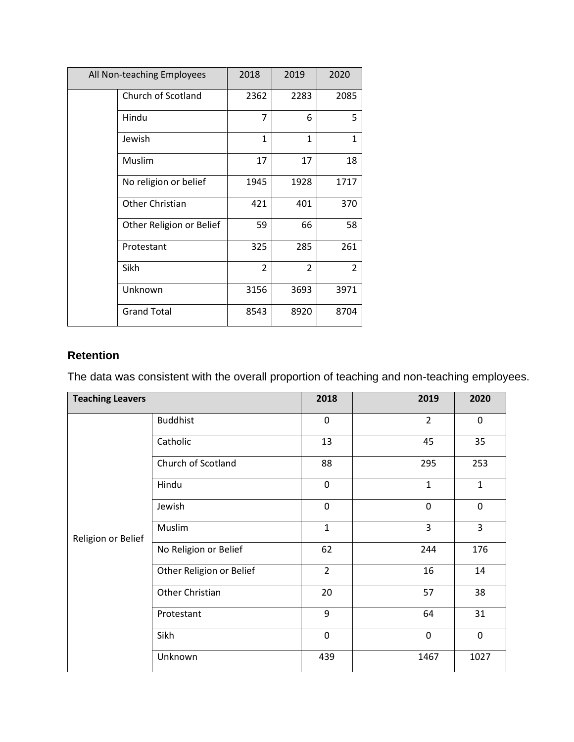| All Non-teaching Employees |                          | 2018           | 2019           | 2020           |
|----------------------------|--------------------------|----------------|----------------|----------------|
|                            | Church of Scotland       | 2362           | 2283           | 2085           |
|                            | Hindu                    | 7              | 6              | 5              |
|                            | Jewish                   | $\mathbf{1}$   | $\mathbf{1}$   | 1              |
|                            | Muslim                   | 17             | 17             | 18             |
|                            | No religion or belief    | 1945           | 1928           | 1717           |
|                            | Other Christian          | 421            | 401            | 370            |
|                            | Other Religion or Belief | 59             | 66             | 58             |
|                            | Protestant               | 325            | 285            | 261            |
|                            | Sikh                     | $\overline{2}$ | $\overline{2}$ | $\overline{2}$ |
|                            | Unknown                  | 3156           | 3693           | 3971           |
|                            | <b>Grand Total</b>       | 8543           | 8920           | 8704           |

The data was consistent with the overall proportion of teaching and non-teaching employees.

| <b>Teaching Leavers</b> |                          | 2018           | 2019           | 2020         |
|-------------------------|--------------------------|----------------|----------------|--------------|
|                         | <b>Buddhist</b>          | $\mathbf 0$    | $\overline{2}$ | $\mathbf 0$  |
|                         | Catholic                 | 13             | 45             | 35           |
|                         | Church of Scotland       | 88             | 295            | 253          |
|                         | Hindu                    | 0              | $\mathbf{1}$   | $\mathbf{1}$ |
|                         | Jewish                   | $\mathbf 0$    | $\mathbf 0$    | $\mathbf 0$  |
| Religion or Belief      | Muslim                   | $\mathbf{1}$   | 3              | 3            |
|                         | No Religion or Belief    | 62             | 244            | 176          |
|                         | Other Religion or Belief | $\overline{2}$ | 16             | 14           |
|                         | Other Christian          | 20             | 57             | 38           |
|                         | Protestant               | 9              | 64             | 31           |
|                         | Sikh                     | 0              | $\mathbf 0$    | $\pmb{0}$    |
|                         | Unknown                  | 439            | 1467           | 1027         |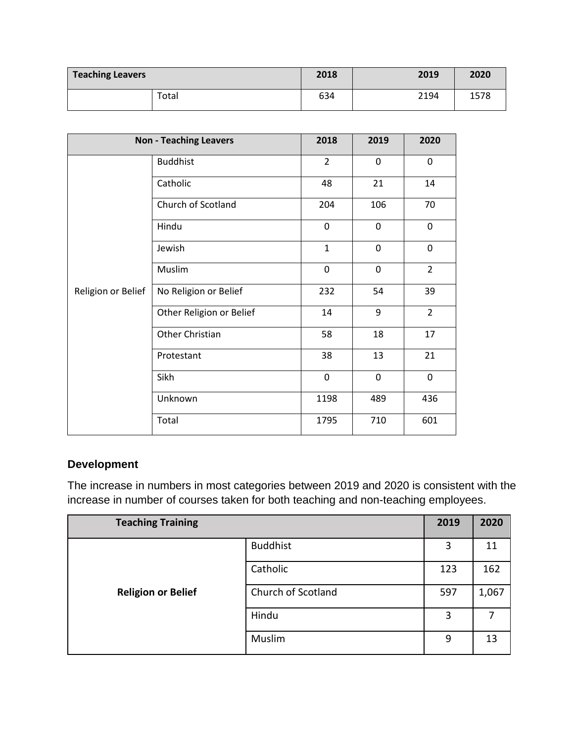| <b>Teaching Leavers</b> | 2018 | 2019 | 2020 |
|-------------------------|------|------|------|
| Total                   | 634  | 2194 | 1578 |

| <b>Non - Teaching Leavers</b> |                          | 2018           | 2019        | 2020           |
|-------------------------------|--------------------------|----------------|-------------|----------------|
|                               | <b>Buddhist</b>          | $\overline{2}$ | 0           | 0              |
|                               | Catholic                 | 48             | 21          | 14             |
|                               | Church of Scotland       | 204            | 106         | 70             |
|                               | Hindu                    | 0              | 0           | 0              |
|                               | Jewish                   | $\mathbf{1}$   | 0           | 0              |
|                               | Muslim                   | 0              | $\mathbf 0$ | $\overline{2}$ |
| Religion or Belief            | No Religion or Belief    | 232            | 54          | 39             |
|                               | Other Religion or Belief | 14             | 9           | $\overline{2}$ |
|                               | Other Christian          | 58             | 18          | 17             |
|                               | Protestant               | 38             | 13          | 21             |
|                               | Sikh                     | 0              | 0           | 0              |
|                               | Unknown                  | 1198           | 489         | 436            |
|                               | Total                    | 1795           | 710         | 601            |

# **Development**

The increase in numbers in most categories between 2019 and 2020 is consistent with the increase in number of courses taken for both teaching and non-teaching employees.

| <b>Teaching Training</b>  |                    | 2019 | 2020  |
|---------------------------|--------------------|------|-------|
|                           | <b>Buddhist</b>    | 3    | 11    |
|                           | Catholic           | 123  | 162   |
| <b>Religion or Belief</b> | Church of Scotland | 597  | 1,067 |
|                           | Hindu              | 3    | 7     |
|                           | Muslim             | 9    | 13    |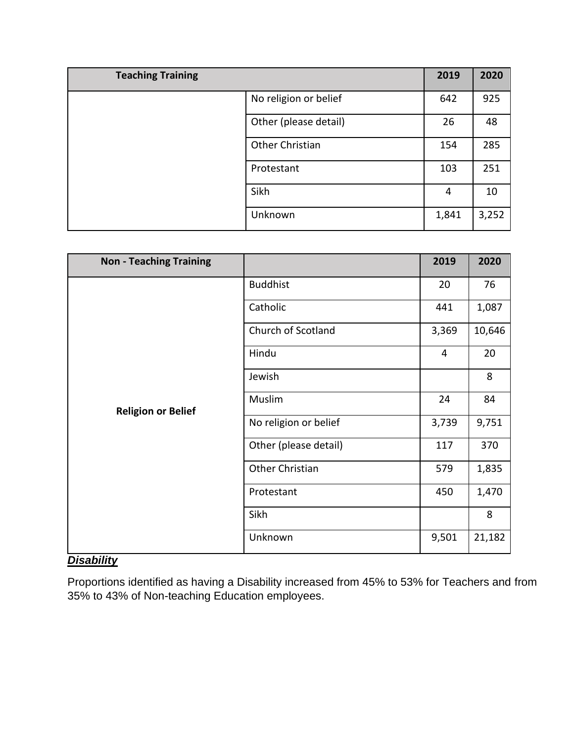| <b>Teaching Training</b> | 2019  | 2020  |
|--------------------------|-------|-------|
| No religion or belief    | 642   | 925   |
| Other (please detail)    | 26    | 48    |
| Other Christian          | 154   | 285   |
| Protestant               | 103   | 251   |
| Sikh                     | 4     | 10    |
| Unknown                  | 1,841 | 3,252 |

| <b>Non - Teaching Training</b> |                       | 2019  | 2020   |
|--------------------------------|-----------------------|-------|--------|
|                                | <b>Buddhist</b>       | 20    | 76     |
|                                | Catholic              | 441   | 1,087  |
|                                | Church of Scotland    | 3,369 | 10,646 |
|                                | Hindu                 | 4     | 20     |
| <b>Religion or Belief</b>      | Jewish                |       | 8      |
|                                | Muslim                | 24    | 84     |
|                                | No religion or belief | 3,739 | 9,751  |
|                                | Other (please detail) | 117   | 370    |
|                                | Other Christian       | 579   | 1,835  |
|                                | Protestant            | 450   | 1,470  |
|                                | Sikh                  |       | 8      |
|                                | Unknown               | 9,501 | 21,182 |

# *Disability*

Proportions identified as having a Disability increased from 45% to 53% for Teachers and from 35% to 43% of Non-teaching Education employees.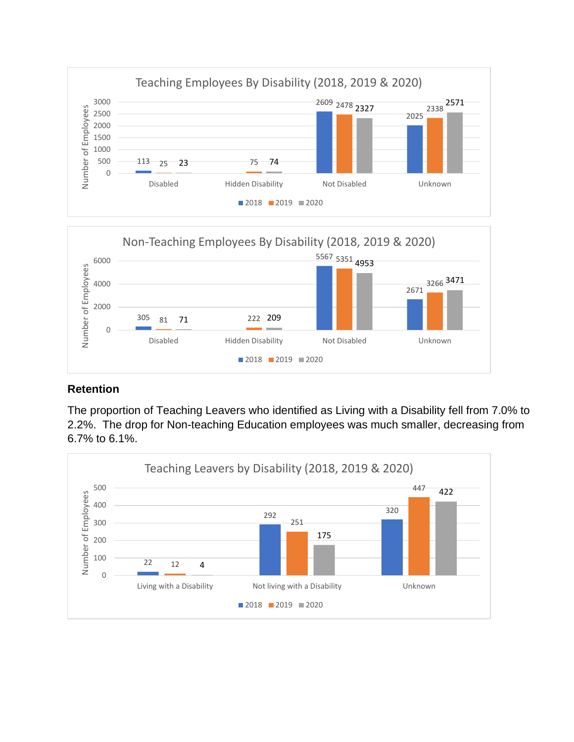![](_page_34_Figure_0.jpeg)

![](_page_34_Figure_1.jpeg)

The proportion of Teaching Leavers who identified as Living with a Disability fell from 7.0% to 2.2%. The drop for Non-teaching Education employees was much smaller, decreasing from 6.7% to 6.1%.

![](_page_34_Figure_4.jpeg)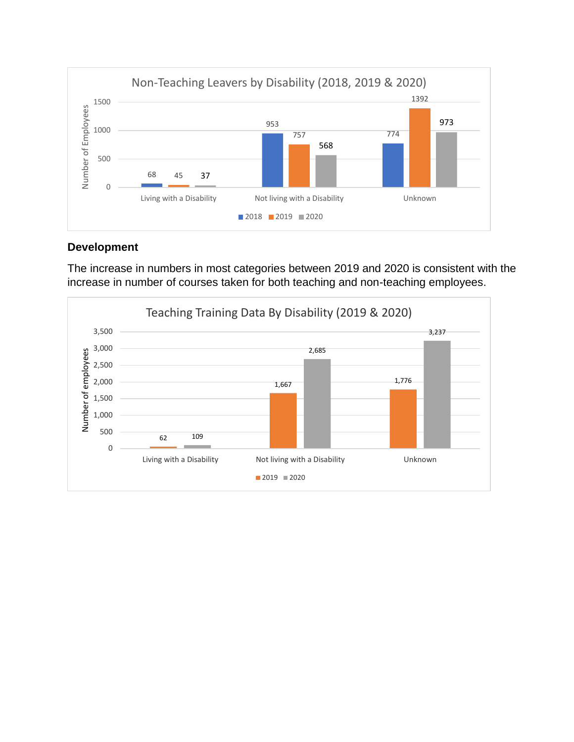![](_page_35_Figure_0.jpeg)

## **Development**

The increase in numbers in most categories between 2019 and 2020 is consistent with the increase in number of courses taken for both teaching and non-teaching employees.

![](_page_35_Figure_3.jpeg)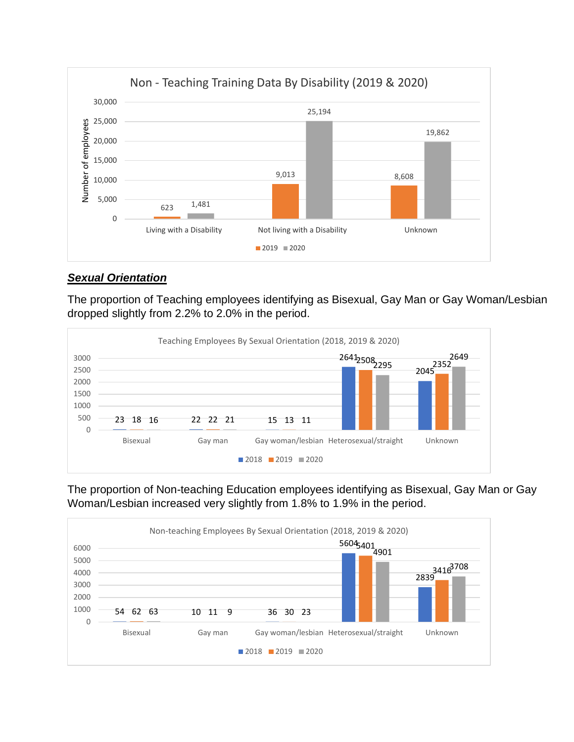![](_page_36_Figure_0.jpeg)

## *Sexual Orientation*

The proportion of Teaching employees identifying as Bisexual, Gay Man or Gay Woman/Lesbian dropped slightly from 2.2% to 2.0% in the period.

![](_page_36_Figure_3.jpeg)

The proportion of Non-teaching Education employees identifying as Bisexual, Gay Man or Gay Woman/Lesbian increased very slightly from 1.8% to 1.9% in the period.

![](_page_36_Figure_5.jpeg)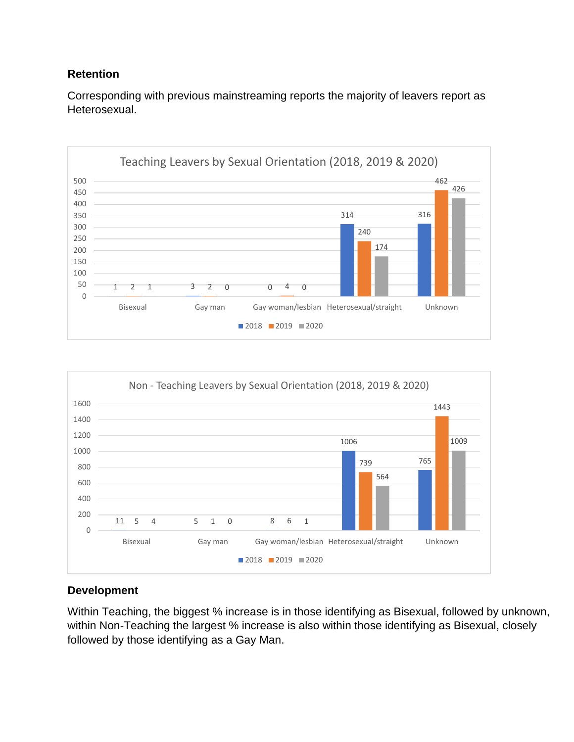Corresponding with previous mainstreaming reports the majority of leavers report as Heterosexual.

![](_page_37_Figure_2.jpeg)

![](_page_37_Figure_3.jpeg)

## **Development**

Within Teaching, the biggest % increase is in those identifying as Bisexual, followed by unknown, within Non-Teaching the largest % increase is also within those identifying as Bisexual, closely followed by those identifying as a Gay Man.